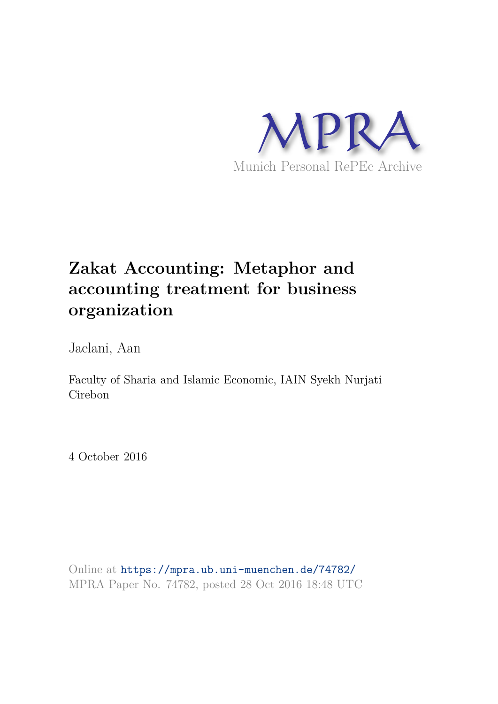

# **Zakat Accounting: Metaphor and accounting treatment for business organization**

Jaelani, Aan

Faculty of Sharia and Islamic Economic, IAIN Syekh Nurjati Cirebon

4 October 2016

Online at https://mpra.ub.uni-muenchen.de/74782/ MPRA Paper No. 74782, posted 28 Oct 2016 18:48 UTC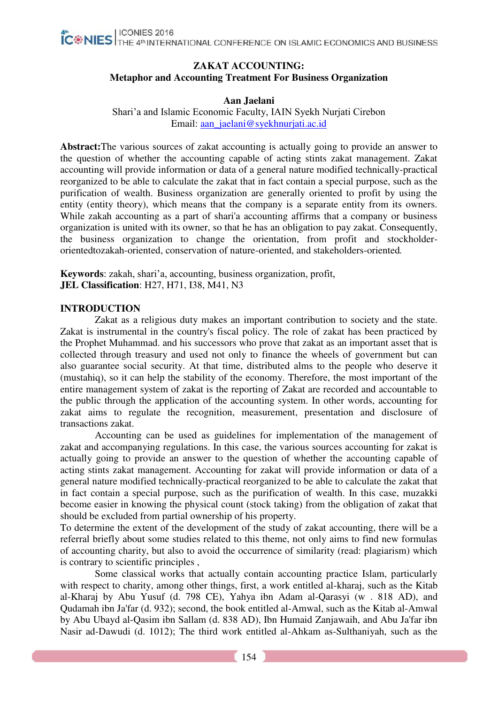### **ZAKAT ACCOUNTING: Metaphor and Accounting Treatment For Business Organization**

# **Aan Jaelani**

Shari'a and Islamic Economic Faculty, IAIN Syekh Nurjati Cirebon Email: [aan\\_jaelani@syekhnurjati.ac.id](mailto:aan_jaelani@syekhnurjati.ac.id)

**Abstract:**The various sources of zakat accounting is actually going to provide an answer to the question of whether the accounting capable of acting stints zakat management. Zakat accounting will provide information or data of a general nature modified technically-practical reorganized to be able to calculate the zakat that in fact contain a special purpose, such as the purification of wealth. Business organization are generally oriented to profit by using the entity (entity theory), which means that the company is a separate entity from its owners. While zakah accounting as a part of shari'a accounting affirms that a company or business organization is united with its owner, so that he has an obligation to pay zakat. Consequently, the business organization to change the orientation, from profit and stockholderorientedtozakah-oriented, conservation of nature-oriented, and stakeholders-oriented*.* 

**Keywords**: zakah, shari'a, accounting, business organization, profit, **JEL Classification**: H27, H71, I38, M41, N3

# **INTRODUCTION**

 Zakat as a religious duty makes an important contribution to society and the state. Zakat is instrumental in the country's fiscal policy. The role of zakat has been practiced by the Prophet Muhammad. and his successors who prove that zakat as an important asset that is collected through treasury and used not only to finance the wheels of government but can also guarantee social security. At that time, distributed alms to the people who deserve it (mustahiq), so it can help the stability of the economy. Therefore, the most important of the entire management system of zakat is the reporting of Zakat are recorded and accountable to the public through the application of the accounting system. In other words, accounting for zakat aims to regulate the recognition, measurement, presentation and disclosure of transactions zakat.

 Accounting can be used as guidelines for implementation of the management of zakat and accompanying regulations. In this case, the various sources accounting for zakat is actually going to provide an answer to the question of whether the accounting capable of acting stints zakat management. Accounting for zakat will provide information or data of a general nature modified technically-practical reorganized to be able to calculate the zakat that in fact contain a special purpose, such as the purification of wealth. In this case, muzakki become easier in knowing the physical count (stock taking) from the obligation of zakat that should be excluded from partial ownership of his property.

To determine the extent of the development of the study of zakat accounting, there will be a referral briefly about some studies related to this theme, not only aims to find new formulas of accounting charity, but also to avoid the occurrence of similarity (read: plagiarism) which is contrary to scientific principles ,

 Some classical works that actually contain accounting practice Islam, particularly with respect to charity, among other things, first, a work entitled al-kharaj, such as the Kitab al-Kharaj by Abu Yusuf (d. 798 CE), Yahya ibn Adam al-Qarasyi (w . 818 AD), and Qudamah ibn Ja'far (d. 932); second, the book entitled al-Amwal, such as the Kitab al-Amwal by Abu Ubayd al-Qasim ibn Sallam (d. 838 AD), Ibn Humaid Zanjawaih, and Abu Ja'far ibn Nasir ad-Dawudi (d. 1012); The third work entitled al-Ahkam as-Sulthaniyah, such as the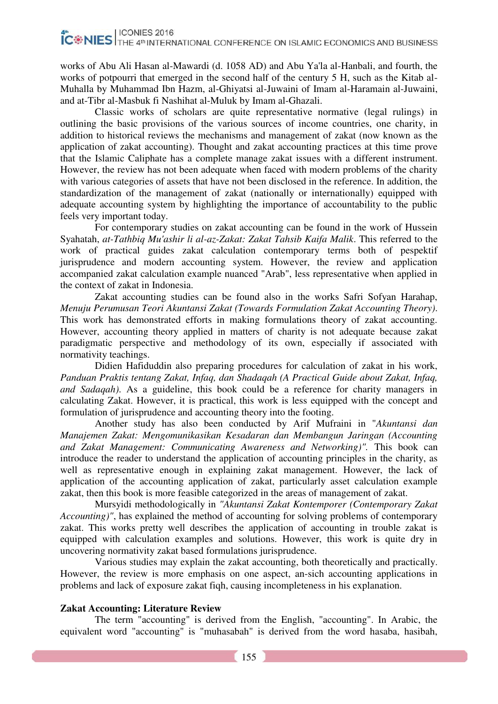works of Abu Ali Hasan al-Mawardi (d. 1058 AD) and Abu Ya'la al-Hanbali, and fourth, the works of potpourri that emerged in the second half of the century 5 H, such as the Kitab al-Muhalla by Muhammad Ibn Hazm, al-Ghiyatsi al-Juwaini of Imam al-Haramain al-Juwaini, and at-Tibr al-Masbuk fi Nashihat al-Muluk by Imam al-Ghazali.

 Classic works of scholars are quite representative normative (legal rulings) in outlining the basic provisions of the various sources of income countries, one charity, in addition to historical reviews the mechanisms and management of zakat (now known as the application of zakat accounting). Thought and zakat accounting practices at this time prove that the Islamic Caliphate has a complete manage zakat issues with a different instrument. However, the review has not been adequate when faced with modern problems of the charity with various categories of assets that have not been disclosed in the reference. In addition, the standardization of the management of zakat (nationally or internationally) equipped with adequate accounting system by highlighting the importance of accountability to the public feels very important today.

 For contemporary studies on zakat accounting can be found in the work of Hussein Syahatah, *at-Tathbiq Mu'ashir li al-az-Zakat: Zakat Tahsib Kaifa Malik*. This referred to the work of practical guides zakat calculation contemporary terms both of pespektif jurisprudence and modern accounting system. However, the review and application accompanied zakat calculation example nuanced "Arab", less representative when applied in the context of zakat in Indonesia.

 Zakat accounting studies can be found also in the works Safri Sofyan Harahap, *Menuju Perumusan Teori Akuntansi Zakat (Towards Formulation Zakat Accounting Theory)*. This work has demonstrated efforts in making formulations theory of zakat accounting. However, accounting theory applied in matters of charity is not adequate because zakat paradigmatic perspective and methodology of its own, especially if associated with normativity teachings.

 Didien Hafiduddin also preparing procedures for calculation of zakat in his work, *Panduan Praktis tentang Zakat, Infaq, dan Shadaqah (A Practical Guide about Zakat, Infaq, and Sadaqah)*. As a guideline, this book could be a reference for charity managers in calculating Zakat. However, it is practical, this work is less equipped with the concept and formulation of jurisprudence and accounting theory into the footing.

 Another study has also been conducted by Arif Mufraini in "*Akuntansi dan Manajemen Zakat: Mengomunikasikan Kesadaran dan Membangun Jaringan (Accounting and Zakat Management: Communicating Awareness and Networking)".* This book can introduce the reader to understand the application of accounting principles in the charity, as well as representative enough in explaining zakat management. However, the lack of application of the accounting application of zakat, particularly asset calculation example zakat, then this book is more feasible categorized in the areas of management of zakat.

 Mursyidi methodologically in *"Akuntansi Zakat Kontemporer (Contemporary Zakat Accounting)"*, has explained the method of accounting for solving problems of contemporary zakat. This works pretty well describes the application of accounting in trouble zakat is equipped with calculation examples and solutions. However, this work is quite dry in uncovering normativity zakat based formulations jurisprudence.

 Various studies may explain the zakat accounting, both theoretically and practically. However, the review is more emphasis on one aspect, an-sich accounting applications in problems and lack of exposure zakat fiqh, causing incompleteness in his explanation.

# **Zakat Accounting: Literature Review**

 The term "accounting" is derived from the English, "accounting". In Arabic, the equivalent word "accounting" is "muhasabah" is derived from the word hasaba, hasibah,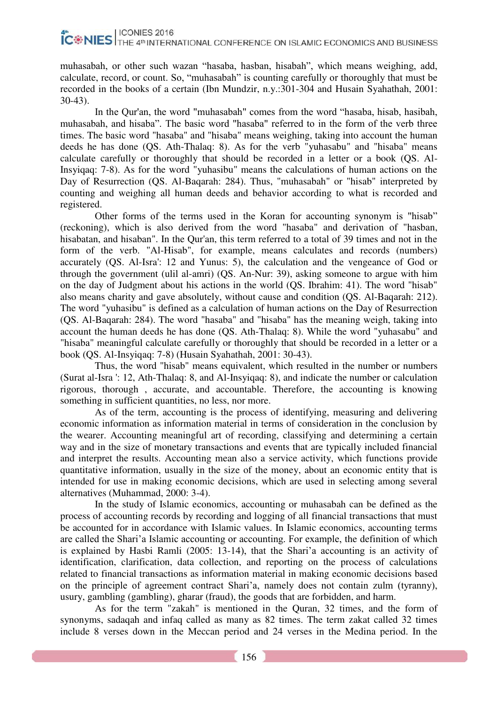muhasabah, or other such wazan "hasaba, hasban, hisabah", which means weighing, add, calculate, record, or count. So, "muhasabah" is counting carefully or thoroughly that must be recorded in the books of a certain (Ibn Mundzir, n.y.:301-304 and Husain Syahathah, 2001: 30-43).

In the Qur'an, the word "muhasabah" comes from the word "hasaba, hisab, hasibah, muhasabah, and hisaba". The basic word "hasaba" referred to in the form of the verb three times. The basic word "hasaba" and "hisaba" means weighing, taking into account the human deeds he has done (QS. Ath-Thalaq: 8). As for the verb "yuhasabu" and "hisaba" means calculate carefully or thoroughly that should be recorded in a letter or a book (QS. Al-Insyiqaq: 7-8). As for the word "yuhasibu" means the calculations of human actions on the Day of Resurrection (QS. Al-Baqarah: 284). Thus, "muhasabah" or "hisab" interpreted by counting and weighing all human deeds and behavior according to what is recorded and registered.

Other forms of the terms used in the Koran for accounting synonym is "hisab" (reckoning), which is also derived from the word "hasaba" and derivation of "hasban, hisabatan, and hisaban". In the Qur'an, this term referred to a total of 39 times and not in the form of the verb. "Al-Hisab", for example, means calculates and records (numbers) accurately (QS. Al-Isra': 12 and Yunus: 5), the calculation and the vengeance of God or through the government (ulil al-amri) (QS. An-Nur: 39), asking someone to argue with him on the day of Judgment about his actions in the world (QS. Ibrahim: 41). The word "hisab" also means charity and gave absolutely, without cause and condition (QS. Al-Baqarah: 212). The word "yuhasibu" is defined as a calculation of human actions on the Day of Resurrection (QS. Al-Baqarah: 284). The word "hasaba" and "hisaba" has the meaning weigh, taking into account the human deeds he has done (QS. Ath-Thalaq: 8). While the word "yuhasabu" and "hisaba" meaningful calculate carefully or thoroughly that should be recorded in a letter or a book (QS. Al-Insyiqaq: 7-8) (Husain Syahathah, 2001: 30-43).

 Thus, the word "hisab" means equivalent, which resulted in the number or numbers (Surat al-Isra ': 12, Ath-Thalaq: 8, and Al-Insyiqaq: 8), and indicate the number or calculation rigorous, thorough , accurate, and accountable. Therefore, the accounting is knowing something in sufficient quantities, no less, nor more.

 As of the term, accounting is the process of identifying, measuring and delivering economic information as information material in terms of consideration in the conclusion by the wearer. Accounting meaningful art of recording, classifying and determining a certain way and in the size of monetary transactions and events that are typically included financial and interpret the results. Accounting mean also a service activity, which functions provide quantitative information, usually in the size of the money, about an economic entity that is intended for use in making economic decisions, which are used in selecting among several alternatives (Muhammad, 2000: 3-4).

 In the study of Islamic economics, accounting or muhasabah can be defined as the process of accounting records by recording and logging of all financial transactions that must be accounted for in accordance with Islamic values. In Islamic economics, accounting terms are called the Shari'a Islamic accounting or accounting. For example, the definition of which is explained by Hasbi Ramli (2005: 13-14), that the Shari'a accounting is an activity of identification, clarification, data collection, and reporting on the process of calculations related to financial transactions as information material in making economic decisions based on the principle of agreement contract Shari'a, namely does not contain zulm (tyranny), usury, gambling (gambling), gharar (fraud), the goods that are forbidden, and harm.

 As for the term "zakah" is mentioned in the Quran, 32 times, and the form of synonyms, sadaqah and infaq called as many as 82 times. The term zakat called 32 times include 8 verses down in the Meccan period and 24 verses in the Medina period. In the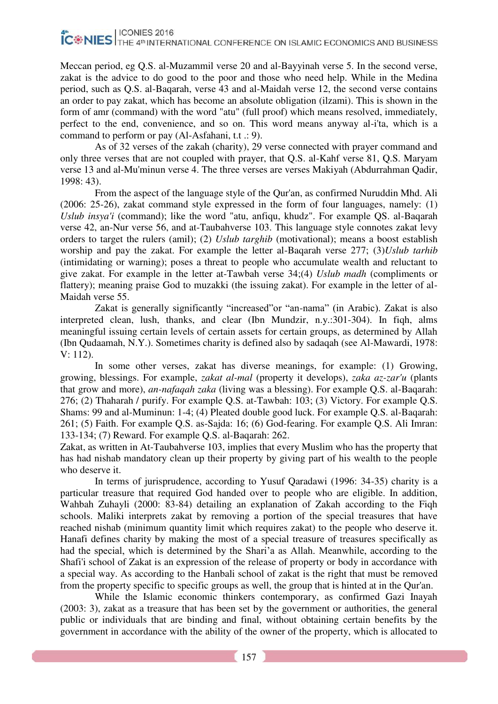Meccan period, eg Q.S. al-Muzammil verse 20 and al-Bayyinah verse 5. In the second verse, zakat is the advice to do good to the poor and those who need help. While in the Medina period, such as Q.S. al-Baqarah, verse 43 and al-Maidah verse 12, the second verse contains an order to pay zakat, which has become an absolute obligation (ilzami). This is shown in the form of amr (command) with the word "atu" (full proof) which means resolved, immediately, perfect to the end, convenience, and so on. This word means anyway al-i'ta, which is a command to perform or pay (Al-Asfahani, t.t .: 9).

 As of 32 verses of the zakah (charity), 29 verse connected with prayer command and only three verses that are not coupled with prayer, that Q.S. al-Kahf verse 81, Q.S. Maryam verse 13 and al-Mu'minun verse 4. The three verses are verses Makiyah (Abdurrahman Qadir, 1998: 43).

 From the aspect of the language style of the Qur'an, as confirmed Nuruddin Mhd. Ali (2006: 25-26), zakat command style expressed in the form of four languages, namely: (1) *Uslub insya'i* (command); like the word "atu, anfiqu, khudz". For example QS. al-Baqarah verse 42, an-Nur verse 56, and at-Taubahverse 103. This language style connotes zakat levy orders to target the rulers (amil); (2) *Uslub targhib* (motivational); means a boost establish worship and pay the zakat. For example the letter al-Baqarah verse 277; (3)*Uslub tarhib* (intimidating or warning); poses a threat to people who accumulate wealth and reluctant to give zakat. For example in the letter at-Tawbah verse 34;(4) *Uslub madh* (compliments or flattery); meaning praise God to muzakki (the issuing zakat). For example in the letter of al-Maidah verse 55.

Zakat is generally significantly "increased" or "an-nama" (in Arabic). Zakat is also interpreted clean, lush, thanks, and clear (Ibn Mundzir, n.y.:301-304). In fiqh, alms meaningful issuing certain levels of certain assets for certain groups, as determined by Allah (Ibn Qudaamah, N.Y.). Sometimes charity is defined also by sadaqah (see Al-Mawardi, 1978: V: 112).

 In some other verses, zakat has diverse meanings, for example: (1) Growing, growing, blessings. For example, *zakat al-mal* (property it develops), *zaka az-zar'u* (plants that grow and more), *an-nafaqah zaka* (living was a blessing). For example Q.S. al-Baqarah: 276; (2) Thaharah / purify. For example Q.S. at-Tawbah: 103; (3) Victory. For example Q.S. Shams: 99 and al-Muminun: 1-4; (4) Pleated double good luck. For example Q.S. al-Baqarah: 261; (5) Faith. For example Q.S. as-Sajda: 16; (6) God-fearing. For example Q.S. Ali Imran: 133-134; (7) Reward. For example Q.S. al-Baqarah: 262.

Zakat, as written in At-Taubahverse 103, implies that every Muslim who has the property that has had nishab mandatory clean up their property by giving part of his wealth to the people who deserve it.

 In terms of jurisprudence, according to Yusuf Qaradawi (1996: 34-35) charity is a particular treasure that required God handed over to people who are eligible. In addition, Wahbah Zuhayli (2000: 83-84) detailing an explanation of Zakah according to the Fiqh schools. Maliki interprets zakat by removing a portion of the special treasures that have reached nishab (minimum quantity limit which requires zakat) to the people who deserve it. Hanafi defines charity by making the most of a special treasure of treasures specifically as had the special, which is determined by the Shari'a as Allah. Meanwhile, according to the Shafi'i school of Zakat is an expression of the release of property or body in accordance with a special way. As according to the Hanbali school of zakat is the right that must be removed from the property specific to specific groups as well, the group that is hinted at in the Qur'an.

 While the Islamic economic thinkers contemporary, as confirmed Gazi Inayah (2003: 3), zakat as a treasure that has been set by the government or authorities, the general public or individuals that are binding and final, without obtaining certain benefits by the government in accordance with the ability of the owner of the property, which is allocated to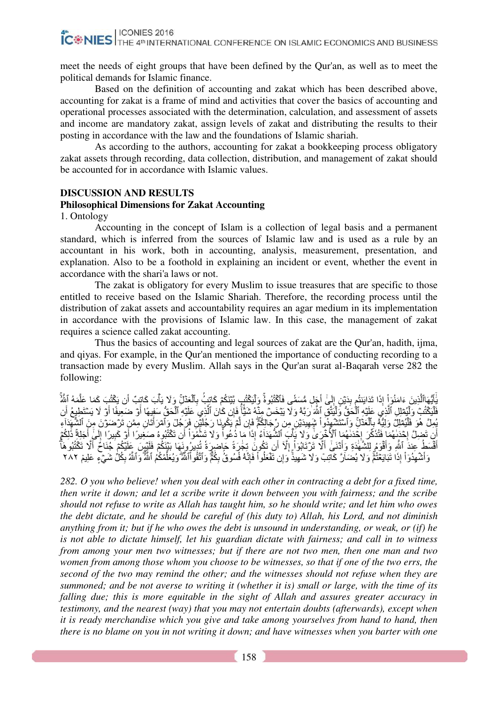meet the needs of eight groups that have been defined by the Qur'an, as well as to meet the political demands for Islamic finance.

 Based on the definition of accounting and zakat which has been described above, accounting for zakat is a frame of mind and activities that cover the basics of accounting and operational processes associated with the determination, calculation, and assessment of assets and income are mandatory zakat, assign levels of zakat and distributing the results to their posting in accordance with the law and the foundations of Islamic shariah.

 As according to the authors, accounting for zakat a bookkeeping process obligatory zakat assets through recording, data collection, distribution, and management of zakat should be accounted for in accordance with Islamic values.

# **DISCUSSION AND RESULTS**

### **Philosophical Dimensions for Zakat Accounting**

### 1. Ontology

 Accounting in the concept of Islam is a collection of legal basis and a permanent standard, which is inferred from the sources of Islamic law and is used as a rule by an accountant in his work, both in accounting, analysis, measurement, presentation, and explanation. Also to be a foothold in explaining an incident or event, whether the event in accordance with the shari'a laws or not.

 The zakat is obligatory for every Muslim to issue treasures that are specific to those entitled to receive based on the Islamic Shariah. Therefore, the recording process until the distribution of zakat assets and accountability requires an agar medium in its implementation in accordance with the provisions of Islamic law. In this case, the management of zakat requires a science called zakat accounting.

 Thus the basics of accounting and legal sources of zakat are the Qur'an, hadith, ijma, and qiyas. For example, in the Qur'an mentioned the importance of conducting recording to a transaction made by every Muslim. Allah says in the Qur'an surat al-Baqarah verse 282 the following:

يَٰٓأَيُّهَاالَّذِينَ ءَامَنُوٓإٍ إِذَا تَدَايَنتُم بِنَيْنٍ إِلَىٰٓ أَجَلٖ مُسَمَّى فَٱكْتُبُوهُۚ وَلْيَكْتُب<br>يَأْيَّهُمَاالَّذِينَ ءَامَنُوۡإِ ۚ إِذَا تَدَايَنتُم بِنَيْنٍ إِلَىٰٓ أَجَلٖ مُسَمَّى فَٱكْتُبُوهُۚ وَلَيَكْت ֧֧֧֧֧֧֧֧֧֧֧֧֧֧֦֧֧֧֧֧֪֧֧֧֧֧֧֧֧֧֪֧֚֘֝֟֓֕֝֬֝֓֟֓֓֓֓֓֓֓֓֓֓֓֓֓֝֬֓֝֓֬֓֓֓֓֝֬֓֓֓֓֝֬֬֓֬֓֬֝֬֝֬֝֬֝֬֝֬֝֬ َٰٓ َ نَ ∣∣<br>≀ **∣** ِ َّ َّ فَلْيَكْتُبُ وَلِّيُمْلِلِ ٱلَّذِي عَلَيْهِ الْحَقُّ وَلِّيَتَّنَّقِ اللَّهَ رَبِّهُ وَلَا يَبْخَسْ مِثْهُ شَيْأٌ فَإِن كَانَ ٱلَّذِي عَلَيْهِ ٱلْحَقُّ سَفِيهَا أَوْ صَعِيفًا أَوْ لَا يَسْتَطِيعُ أَن ة<br>ما َ َ َ بُمِلَّ هُوَ فَلَيُمْلِلُ وَلِيُّهُ بِٱلْعَذَلِّ وَٱسْتَشْهِدُواْ شَهْدِدَيْنِ مِن رِّجَالِكُمْ فَإِن لَمْ يَكُونَا رَجُلْتِنِ فَرَجُلٌ وَٱمْرَأَتَانِ مِمَّنٍ تَرْضَوْنَ مِنَ ٱلشَّهَدَاءِ ِ ْ ِ ِ ُّ نَّ يَصْطِنَ إِحْدَلِهُمَا ۖ فَتُذَكِّنَ إِحْدَلُهُمَا ٱلْأَخْرَى ۚ وَلَا يَأْبَ ٱلشَّهَدَاءُ إِذَا مَا دُعُواْ وَلَا تَشْهُوَاْ أَن تَكْثُبُوهُ صَغِيرًا أَوْ كَبِيرًا إِلَيْ إِجْلِحٍّ ذُٰلِكُمْ ׀**֡** י<br>י ْ َ ِ اً<br>ا ِ َ نَ ِ َ نِ ֧<u>֓</u> أَقْسَطُ عِندَ ٱللَّهِ وَأَقْوَمُ لِلشَّهَٰدَةِ وَأَدْنَىٰ أَلَّا تَرْتَابُوٓاْ إِلَّا أَن تَكُونَ تِجْرَةً حَاضررَةً تُدِبرُ ونَهَا بَيْنَكُمْ فَأَيْشَ عَلَيْكُمْ جُنَاحٌ أَلَّا تَكْتُبُوهَأ َ ِ َٰ َّ َ وَأَنْتَـهِدُوٓاْ إِذَا تَبَايَخْتُمْۚ وَلاَ يُضَاَّرَ كَاتِبَ وَلاَ تَنهَيذُّ وَإِن تَّفْعَلُواْ فَإِنَّهُ فُسُوقُ بِكُمْ ۖ وَآتَقُوْاْالنَّمُّ وَيُعَلِّمُكُمُ ٱنَّمُّ وَٱللَّهُ وَلِلَّهُ بِكُلِّ شَيْءٍ عَلِيمَ ٢٨٢ ِ **∶** ُ<br>ا ْ ِّ َّ

*282. O you who believe! when you deal with each other in contracting a debt for a fixed time, then write it down; and let a scribe write it down between you with fairness; and the scribe should not refuse to write as Allah has taught him, so he should write; and let him who owes the debt dictate, and he should be careful of (his duty to) Allah, his Lord, and not diminish anything from it; but if he who owes the debt is unsound in understanding, or weak, or (if) he is not able to dictate himself, let his guardian dictate with fairness; and call in to witness from among your men two witnesses; but if there are not two men, then one man and two women from among those whom you choose to be witnesses, so that if one of the two errs, the second of the two may remind the other; and the witnesses should not refuse when they are summoned; and be not averse to writing it (whether it is) small or large, with the time of its*  falling due; this is more equitable in the sight of Allah and assures greater accuracy in *testimony, and the nearest (way) that you may not entertain doubts (afterwards), except when it is ready merchandise which you give and take among yourselves from hand to hand, then there is no blame on you in not writing it down; and have witnesses when you barter with one*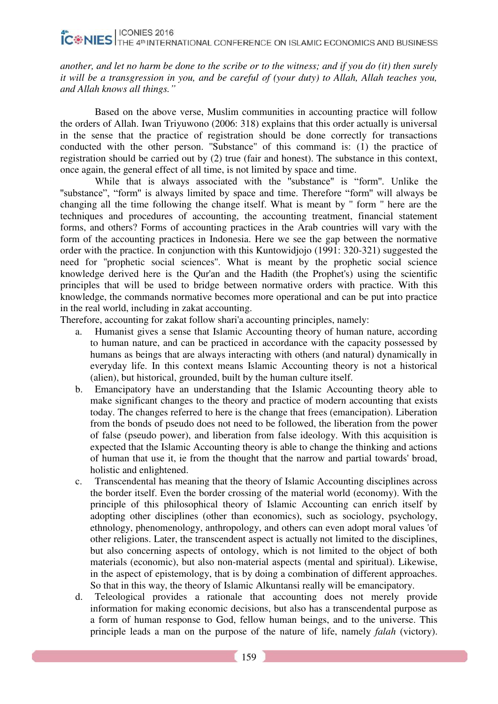*another, and let no harm be done to the scribe or to the witness; and if you do (it) then surely it will be a transgression in you, and be careful of (your duty) to Allah, Allah teaches you, and Allah knows all things."*

 Based on the above verse, Muslim communities in accounting practice will follow the orders of Allah. Iwan Triyuwono (2006: 318) explains that this order actually is universal in the sense that the practice of registration should be done correctly for transactions conducted with the other person. ''Substance'' of this command is: (1) the practice of registration should be carried out by (2) true (fair and honest). The substance in this context, once again, the general effect of all time, is not limited by space and time.

While that is always associated with the "substance" is "form". Unlike the "substance", "form" is always limited by space and time. Therefore "form" will always be changing all the time following the change itself. What is meant by '' form '' here are the techniques and procedures of accounting, the accounting treatment, financial statement forms, and others? Forms of accounting practices in the Arab countries will vary with the form of the accounting practices in Indonesia. Here we see the gap between the normative order with the practice. In conjunction with this Kuntowidjojo (1991: 320-321) suggested the need for ''prophetic social sciences''. What is meant by the prophetic social science knowledge derived here is the Qur'an and the Hadith (the Prophet's) using the scientific principles that will be used to bridge between normative orders with practice. With this knowledge, the commands normative becomes more operational and can be put into practice in the real world, including in zakat accounting.

Therefore, accounting for zakat follow shari'a accounting principles, namely:

- a. Humanist gives a sense that Islamic Accounting theory of human nature, according to human nature, and can be practiced in accordance with the capacity possessed by humans as beings that are always interacting with others (and natural) dynamically in everyday life. In this context means Islamic Accounting theory is not a historical (alien), but historical, grounded, built by the human culture itself.
- b. Emancipatory have an understanding that the Islamic Accounting theory able to make significant changes to the theory and practice of modern accounting that exists today. The changes referred to here is the change that frees (emancipation). Liberation from the bonds of pseudo does not need to be followed, the liberation from the power of false (pseudo power), and liberation from false ideology. With this acquisition is expected that the Islamic Accounting theory is able to change the thinking and actions of human that use it, ie from the thought that the narrow and partial towards' broad, holistic and enlightened.
- c. Transcendental has meaning that the theory of Islamic Accounting disciplines across the border itself. Even the border crossing of the material world (economy). With the principle of this philosophical theory of Islamic Accounting can enrich itself by adopting other disciplines (other than economics), such as sociology, psychology, ethnology, phenomenology, anthropology, and others can even adopt moral values 'of other religions. Later, the transcendent aspect is actually not limited to the disciplines, but also concerning aspects of ontology, which is not limited to the object of both materials (economic), but also non-material aspects (mental and spiritual). Likewise, in the aspect of epistemology, that is by doing a combination of different approaches. So that in this way, the theory of Islamic Alkuntansi really will be emancipatory.
- d. Teleological provides a rationale that accounting does not merely provide information for making economic decisions, but also has a transcendental purpose as a form of human response to God, fellow human beings, and to the universe. This principle leads a man on the purpose of the nature of life, namely *falah* (victory).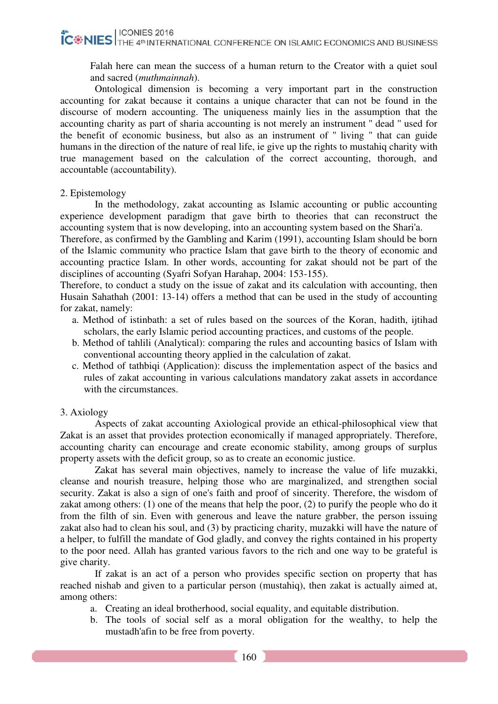# **IC®NIES** THE 4<sup>th</sup> INTERNATIONAL CONFERENCE ON ISLAMIC ECONOMICS AND BUSINESS

Falah here can mean the success of a human return to the Creator with a quiet soul and sacred (*muthmainnah*).

 Ontological dimension is becoming a very important part in the construction accounting for zakat because it contains a unique character that can not be found in the discourse of modern accounting. The uniqueness mainly lies in the assumption that the accounting charity as part of sharia accounting is not merely an instrument '' dead '' used for the benefit of economic business, but also as an instrument of '' living '' that can guide humans in the direction of the nature of real life, ie give up the rights to mustahiq charity with true management based on the calculation of the correct accounting, thorough, and accountable (accountability).

#### 2. Epistemology

 In the methodology, zakat accounting as Islamic accounting or public accounting experience development paradigm that gave birth to theories that can reconstruct the accounting system that is now developing, into an accounting system based on the Shari'a.

Therefore, as confirmed by the Gambling and Karim (1991), accounting Islam should be born of the Islamic community who practice Islam that gave birth to the theory of economic and accounting practice Islam. In other words, accounting for zakat should not be part of the disciplines of accounting (Syafri Sofyan Harahap, 2004: 153-155).

Therefore, to conduct a study on the issue of zakat and its calculation with accounting, then Husain Sahathah (2001: 13-14) offers a method that can be used in the study of accounting for zakat, namely:

- a. Method of istinbath: a set of rules based on the sources of the Koran, hadith, ijtihad scholars, the early Islamic period accounting practices, and customs of the people.
- b. Method of tahlili (Analytical): comparing the rules and accounting basics of Islam with conventional accounting theory applied in the calculation of zakat.
- c. Method of tathbiqi (Application): discuss the implementation aspect of the basics and rules of zakat accounting in various calculations mandatory zakat assets in accordance with the circumstances.

#### 3. Axiology

 Aspects of zakat accounting Axiological provide an ethical-philosophical view that Zakat is an asset that provides protection economically if managed appropriately. Therefore, accounting charity can encourage and create economic stability, among groups of surplus property assets with the deficit group, so as to create an economic justice.

 Zakat has several main objectives, namely to increase the value of life muzakki, cleanse and nourish treasure, helping those who are marginalized, and strengthen social security. Zakat is also a sign of one's faith and proof of sincerity. Therefore, the wisdom of zakat among others: (1) one of the means that help the poor, (2) to purify the people who do it from the filth of sin. Even with generous and leave the nature grabber, the person issuing zakat also had to clean his soul, and (3) by practicing charity, muzakki will have the nature of a helper, to fulfill the mandate of God gladly, and convey the rights contained in his property to the poor need. Allah has granted various favors to the rich and one way to be grateful is give charity.

 If zakat is an act of a person who provides specific section on property that has reached nishab and given to a particular person (mustahiq), then zakat is actually aimed at, among others:

- a. Creating an ideal brotherhood, social equality, and equitable distribution.
- b. The tools of social self as a moral obligation for the wealthy, to help the mustadh'afin to be free from poverty.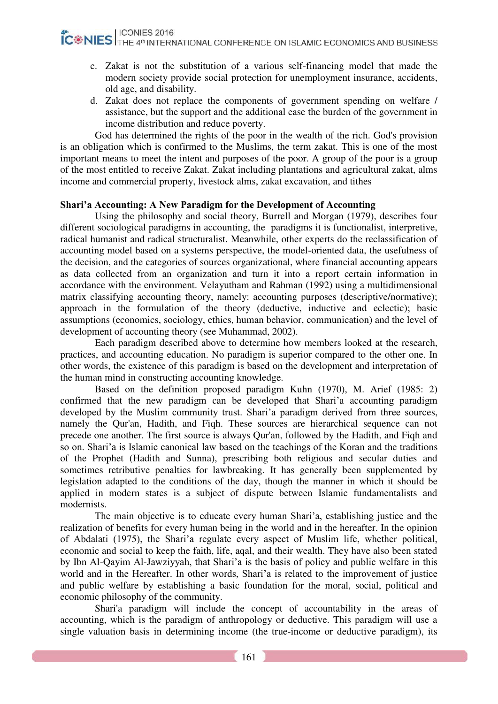- c. Zakat is not the substitution of a various self-financing model that made the modern society provide social protection for unemployment insurance, accidents, old age, and disability.
- d. Zakat does not replace the components of government spending on welfare / assistance, but the support and the additional ease the burden of the government in income distribution and reduce poverty.

 God has determined the rights of the poor in the wealth of the rich. God's provision is an obligation which is confirmed to the Muslims, the term zakat. This is one of the most important means to meet the intent and purposes of the poor. A group of the poor is a group of the most entitled to receive Zakat. Zakat including plantations and agricultural zakat, alms income and commercial property, livestock alms, zakat excavation, and tithes

# **Shari"a Accounting: A New Paradigm for the Development of Accounting**

 Using the philosophy and social theory, Burrell and Morgan (1979), describes four different sociological paradigms in accounting, the paradigms it is functionalist, interpretive, radical humanist and radical structuralist. Meanwhile, other experts do the reclassification of accounting model based on a systems perspective, the model-oriented data, the usefulness of the decision, and the categories of sources organizational, where financial accounting appears as data collected from an organization and turn it into a report certain information in accordance with the environment. Velayutham and Rahman (1992) using a multidimensional matrix classifying accounting theory, namely: accounting purposes (descriptive/normative); approach in the formulation of the theory (deductive, inductive and eclectic); basic assumptions (economics, sociology, ethics, human behavior, communication) and the level of development of accounting theory (see Muhammad, 2002).

 Each paradigm described above to determine how members looked at the research, practices, and accounting education. No paradigm is superior compared to the other one. In other words, the existence of this paradigm is based on the development and interpretation of the human mind in constructing accounting knowledge.

 Based on the definition proposed paradigm Kuhn (1970), M. Arief (1985: 2) confirmed that the new paradigm can be developed that Shari'a accounting paradigm developed by the Muslim community trust. Shari'a paradigm derived from three sources, namely the Qur'an, Hadith, and Fiqh. These sources are hierarchical sequence can not precede one another. The first source is always Qur'an, followed by the Hadith, and Fiqh and so on. Shari'a is Islamic canonical law based on the teachings of the Koran and the traditions of the Prophet (Hadith and Sunna), prescribing both religious and secular duties and sometimes retributive penalties for lawbreaking. It has generally been supplemented by legislation adapted to the conditions of the day, though the manner in which it should be applied in modern states is a subject of dispute between Islamic fundamentalists and modernists.

 The main objective is to educate every human Shari'a, establishing justice and the realization of benefits for every human being in the world and in the hereafter. In the opinion of Abdalati (1975), the Shari'a regulate every aspect of Muslim life, whether political, economic and social to keep the faith, life, aqal, and their wealth. They have also been stated by Ibn Al-Qayim Al-Jawziyyah, that Shari'a is the basis of policy and public welfare in this world and in the Hereafter. In other words, Shari'a is related to the improvement of justice and public welfare by establishing a basic foundation for the moral, social, political and economic philosophy of the community.

 Shari'a paradigm will include the concept of accountability in the areas of accounting, which is the paradigm of anthropology or deductive. This paradigm will use a single valuation basis in determining income (the true-income or deductive paradigm), its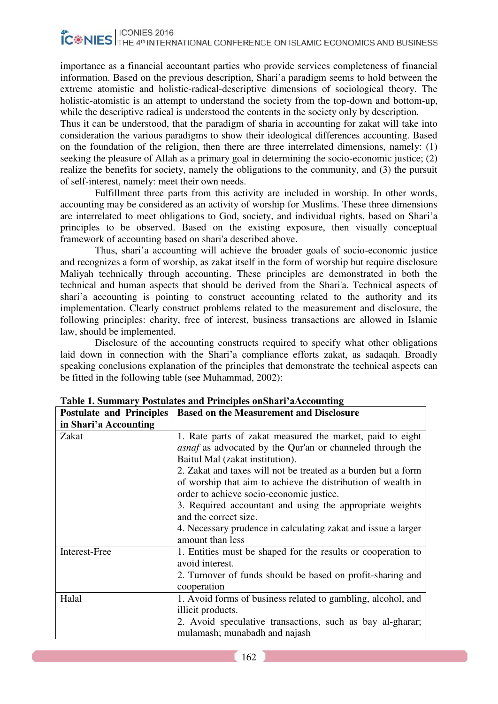importance as a financial accountant parties who provide services completeness of financial information. Based on the previous description, Shari'a paradigm seems to hold between the extreme atomistic and holistic-radical-descriptive dimensions of sociological theory. The holistic-atomistic is an attempt to understand the society from the top-down and bottom-up, while the descriptive radical is understood the contents in the society only by description.

Thus it can be understood, that the paradigm of sharia in accounting for zakat will take into consideration the various paradigms to show their ideological differences accounting. Based on the foundation of the religion, then there are three interrelated dimensions, namely: (1) seeking the pleasure of Allah as a primary goal in determining the socio-economic justice; (2) realize the benefits for society, namely the obligations to the community, and (3) the pursuit of self-interest, namely: meet their own needs.

 Fulfillment three parts from this activity are included in worship. In other words, accounting may be considered as an activity of worship for Muslims. These three dimensions are interrelated to meet obligations to God, society, and individual rights, based on Shari'a principles to be observed. Based on the existing exposure, then visually conceptual framework of accounting based on shari'a described above.

 Thus, shari'a accounting will achieve the broader goals of socio-economic justice and recognizes a form of worship, as zakat itself in the form of worship but require disclosure Maliyah technically through accounting. These principles are demonstrated in both the technical and human aspects that should be derived from the Shari'a. Technical aspects of shari'a accounting is pointing to construct accounting related to the authority and its implementation. Clearly construct problems related to the measurement and disclosure, the following principles: charity, free of interest, business transactions are allowed in Islamic law, should be implemented.

 Disclosure of the accounting constructs required to specify what other obligations laid down in connection with the Shari'a compliance efforts zakat, as sadaqah. Broadly speaking conclusions explanation of the principles that demonstrate the technical aspects can be fitted in the following table (see Muhammad, 2002):

| <b>Postulate and Principles</b> | <b>Based on the Measurement and Disclosure</b>                                                                                                                                                                                                                                                                                                |  |
|---------------------------------|-----------------------------------------------------------------------------------------------------------------------------------------------------------------------------------------------------------------------------------------------------------------------------------------------------------------------------------------------|--|
| in Shari'a Accounting           |                                                                                                                                                                                                                                                                                                                                               |  |
| Zakat                           | 1. Rate parts of zakat measured the market, paid to eight<br><i>asnaf</i> as advocated by the Qur'an or channeled through the<br>Baitul Mal (zakat institution).<br>2. Zakat and taxes will not be treated as a burden but a form<br>of worship that aim to achieve the distribution of wealth in<br>order to achieve socio-economic justice. |  |
|                                 | 3. Required accountant and using the appropriate weights<br>and the correct size.<br>4. Necessary prudence in calculating zakat and issue a larger<br>amount than less                                                                                                                                                                        |  |
| Interest-Free                   | 1. Entities must be shaped for the results or cooperation to<br>avoid interest.<br>2. Turnover of funds should be based on profit-sharing and<br>cooperation                                                                                                                                                                                  |  |
| Halal                           | 1. Avoid forms of business related to gambling, alcohol, and<br>illicit products.<br>2. Avoid speculative transactions, such as bay al-gharar;<br>mulamash; munabadh and najash                                                                                                                                                               |  |

**Table 1. Summary Postulates and Principles onShari"aAccounting**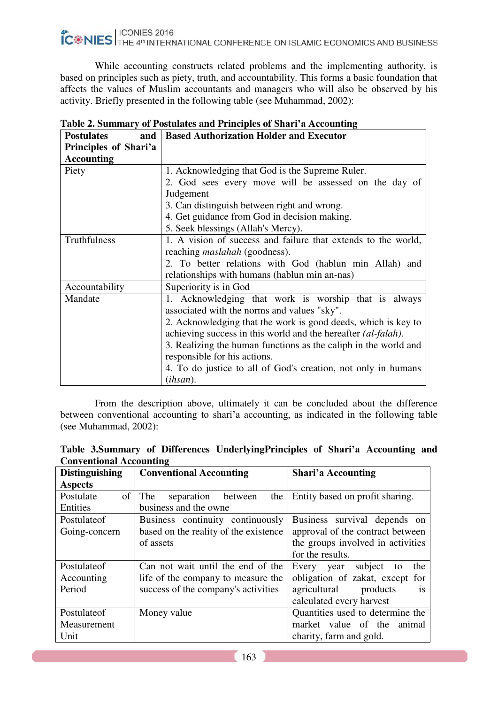While accounting constructs related problems and the implementing authority, is based on principles such as piety, truth, and accountability. This forms a basic foundation that affects the values of Muslim accountants and managers who will also be observed by his activity. Briefly presented in the following table (see Muhammad, 2002):

| <b>Postulates</b><br>and | <b>Based Authorization Holder and Executor</b>                        |  |  |  |
|--------------------------|-----------------------------------------------------------------------|--|--|--|
| Principles of Shari'a    |                                                                       |  |  |  |
| <b>Accounting</b>        |                                                                       |  |  |  |
| Piety                    | 1. Acknowledging that God is the Supreme Ruler.                       |  |  |  |
|                          | 2. God sees every move will be assessed on the day of                 |  |  |  |
|                          | Judgement                                                             |  |  |  |
|                          | 3. Can distinguish between right and wrong.                           |  |  |  |
|                          | 4. Get guidance from God in decision making.                          |  |  |  |
|                          | 5. Seek blessings (Allah's Mercy).                                    |  |  |  |
| Truthfulness             | 1. A vision of success and failure that extends to the world,         |  |  |  |
|                          | reaching <i>maslahah</i> (goodness).                                  |  |  |  |
|                          | 2. To better relations with God (hablun min Allah) and                |  |  |  |
|                          | relationships with humans (hablun min an-nas)                         |  |  |  |
| Accountability           | Superiority is in God                                                 |  |  |  |
| Mandate                  | 1. Acknowledging that work is worship that is always                  |  |  |  |
|                          | associated with the norms and values "sky".                           |  |  |  |
|                          | 2. Acknowledging that the work is good deeds, which is key to         |  |  |  |
|                          | achieving success in this world and the hereafter <i>(al-falah)</i> . |  |  |  |
|                          | 3. Realizing the human functions as the caliph in the world and       |  |  |  |
|                          | responsible for his actions.                                          |  |  |  |
|                          | 4. To do justice to all of God's creation, not only in humans         |  |  |  |
|                          | (ihsan).                                                              |  |  |  |

| Table 2. Summary of Postulates and Principles of Shari'a Accounting |
|---------------------------------------------------------------------|
|                                                                     |

 From the description above, ultimately it can be concluded about the difference between conventional accounting to shari'a accounting, as indicated in the following table (see Muhammad, 2002):

|                                |  | Table 3.Summary of Differences Underlying Principles of Shari'a Accounting and |  |  |
|--------------------------------|--|--------------------------------------------------------------------------------|--|--|
| <b>Conventional Accounting</b> |  |                                                                                |  |  |

| <b>Distinguishing</b> | <b>Conventional Accounting</b>        | <b>Shari'a Accounting</b>             |  |
|-----------------------|---------------------------------------|---------------------------------------|--|
| <b>Aspects</b>        |                                       |                                       |  |
| of<br>Postulate       | The<br>separation<br>the<br>between   | Entity based on profit sharing.       |  |
| Entities              | business and the owne                 |                                       |  |
| Postulate of          | Business continuity continuously      | Business survival depends on          |  |
| Going-concern         | based on the reality of the existence | approval of the contract between      |  |
|                       | of assets                             | the groups involved in activities     |  |
|                       |                                       | for the results.                      |  |
| Postulateof           | Can not wait until the end of the     | subject to<br>Every year<br>the       |  |
| Accounting            | life of the company to measure the    | obligation of zakat, except for       |  |
| Period                | success of the company's activities   | agricultural<br>products<br><i>is</i> |  |
|                       |                                       | calculated every harvest              |  |
| Postulateof           | Money value                           | Quantities used to determine the      |  |
| Measurement           |                                       | market value of the<br>animal         |  |
| Unit                  |                                       | charity, farm and gold.               |  |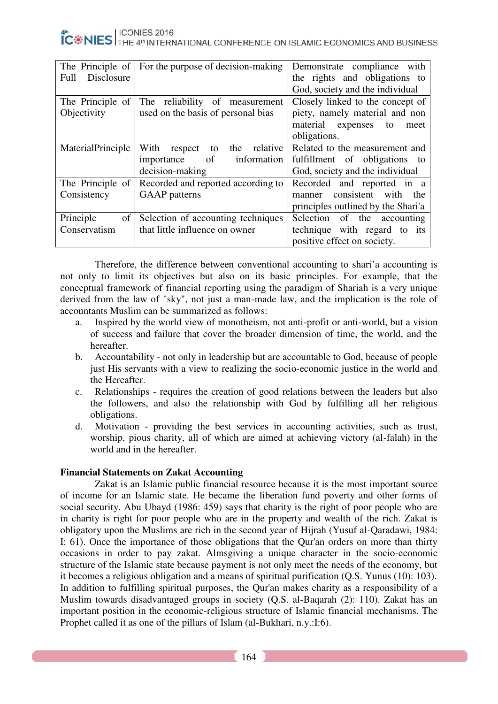| The Principle of   | For the purpose of decision-making    | Demonstrate compliance with        |
|--------------------|---------------------------------------|------------------------------------|
| Disclosure<br>Full |                                       | the rights and obligations to      |
|                    |                                       | God, society and the individual    |
| The Principle of   | The reliability of measurement        | Closely linked to the concept of   |
| Objectivity        | used on the basis of personal bias    | piety, namely material and non     |
|                    |                                       | material expenses to<br>meet       |
|                    |                                       | obligations.                       |
| MaterialPrinciple  | With<br>the relative<br>respect<br>to | Related to the measurement and     |
|                    | of<br>information<br>importance       | fulfillment of obligations to      |
|                    | decision-making                       | God, society and the individual    |
| The Principle of   | Recorded and reported according to    | Recorded and reported in a         |
| Consistency        | <b>GAAP</b> patterns                  | consistent with<br>the<br>manner   |
|                    |                                       | principles outlined by the Shari'a |
| Principle<br>of    | Selection of accounting techniques    | Selection of the accounting        |
| Conservatism       | that little influence on owner        | technique with regard to its       |
|                    |                                       | positive effect on society.        |

 Therefore, the difference between conventional accounting to shari'a accounting is not only to limit its objectives but also on its basic principles. For example, that the conceptual framework of financial reporting using the paradigm of Shariah is a very unique derived from the law of "sky", not just a man-made law, and the implication is the role of accountants Muslim can be summarized as follows:

- a. Inspired by the world view of monotheism, not anti-profit or anti-world, but a vision of success and failure that cover the broader dimension of time, the world, and the hereafter.
- b. Accountability not only in leadership but are accountable to God, because of people just His servants with a view to realizing the socio-economic justice in the world and the Hereafter.
- c. Relationships requires the creation of good relations between the leaders but also the followers, and also the relationship with God by fulfilling all her religious obligations.
- d. Motivation providing the best services in accounting activities, such as trust, worship, pious charity, all of which are aimed at achieving victory (al-falah) in the world and in the hereafter.

# **Financial Statements on Zakat Accounting**

 Zakat is an Islamic public financial resource because it is the most important source of income for an Islamic state. He became the liberation fund poverty and other forms of social security. Abu Ubayd (1986: 459) says that charity is the right of poor people who are in charity is right for poor people who are in the property and wealth of the rich. Zakat is obligatory upon the Muslims are rich in the second year of Hijrah (Yusuf al-Qaradawi, 1984: I: 61). Once the importance of those obligations that the Qur'an orders on more than thirty occasions in order to pay zakat. Almsgiving a unique character in the socio-economic structure of the Islamic state because payment is not only meet the needs of the economy, but it becomes a religious obligation and a means of spiritual purification (Q.S. Yunus (10): 103). In addition to fulfilling spiritual purposes, the Qur'an makes charity as a responsibility of a Muslim towards disadvantaged groups in society (Q.S. al-Baqarah (2): 110). Zakat has an important position in the economic-religious structure of Islamic financial mechanisms. The Prophet called it as one of the pillars of Islam (al-Bukhari, n.y.:I:6).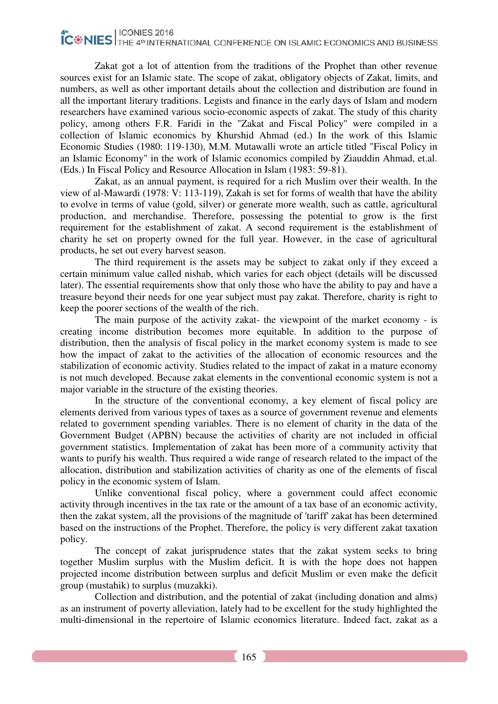Zakat got a lot of attention from the traditions of the Prophet than other revenue sources exist for an Islamic state. The scope of zakat, obligatory objects of Zakat, limits, and numbers, as well as other important details about the collection and distribution are found in all the important literary traditions. Legists and finance in the early days of Islam and modern researchers have examined various socio-economic aspects of zakat. The study of this charity policy, among others F.R. Faridi in the "Zakat and Fiscal Policy" were compiled in a collection of Islamic economics by Khurshid Ahmad (ed.) In the work of this Islamic Economic Studies (1980: 119-130), M.M. Mutawalli wrote an article titled "Fiscal Policy in an Islamic Economy" in the work of Islamic economics compiled by Ziauddin Ahmad, et.al. (Eds.) In Fiscal Policy and Resource Allocation in Islam (1983: 59-81).

 Zakat, as an annual payment, is required for a rich Muslim over their wealth. In the view of al-Mawardi (1978: V: 113-119), Zakah is set for forms of wealth that have the ability to evolve in terms of value (gold, silver) or generate more wealth, such as cattle, agricultural production, and merchandise. Therefore, possessing the potential to grow is the first requirement for the establishment of zakat. A second requirement is the establishment of charity he set on property owned for the full year. However, in the case of agricultural products, he set out every harvest season.

 The third requirement is the assets may be subject to zakat only if they exceed a certain minimum value called nishab, which varies for each object (details will be discussed later). The essential requirements show that only those who have the ability to pay and have a treasure beyond their needs for one year subject must pay zakat. Therefore, charity is right to keep the poorer sections of the wealth of the rich.

 The main purpose of the activity zakat- the viewpoint of the market economy - is creating income distribution becomes more equitable. In addition to the purpose of distribution, then the analysis of fiscal policy in the market economy system is made to see how the impact of zakat to the activities of the allocation of economic resources and the stabilization of economic activity. Studies related to the impact of zakat in a mature economy is not much developed. Because zakat elements in the conventional economic system is not a major variable in the structure of the existing theories.

 In the structure of the conventional economy, a key element of fiscal policy are elements derived from various types of taxes as a source of government revenue and elements related to government spending variables. There is no element of charity in the data of the Government Budget (APBN) because the activities of charity are not included in official government statistics. Implementation of zakat has been more of a community activity that wants to purify his wealth. Thus required a wide range of research related to the impact of the allocation, distribution and stabilization activities of charity as one of the elements of fiscal policy in the economic system of Islam.

 Unlike conventional fiscal policy, where a government could affect economic activity through incentives in the tax rate or the amount of a tax base of an economic activity, then the zakat system, all the provisions of the magnitude of 'tariff' zakat has been determined based on the instructions of the Prophet. Therefore, the policy is very different zakat taxation policy.

 The concept of zakat jurisprudence states that the zakat system seeks to bring together Muslim surplus with the Muslim deficit. It is with the hope does not happen projected income distribution between surplus and deficit Muslim or even make the deficit group (mustahik) to surplus (muzakki).

 Collection and distribution, and the potential of zakat (including donation and alms) as an instrument of poverty alleviation, lately had to be excellent for the study highlighted the multi-dimensional in the repertoire of Islamic economics literature. Indeed fact, zakat as a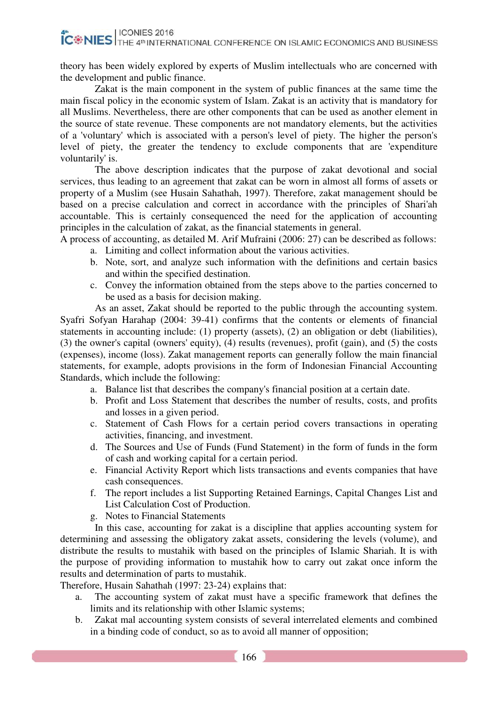# **IC NIES** THE 4<sup>th</sup> INTERNATIONAL CONFERENCE ON ISLAMIC ECONOMICS AND BUSINESS

theory has been widely explored by experts of Muslim intellectuals who are concerned with the development and public finance.

 Zakat is the main component in the system of public finances at the same time the main fiscal policy in the economic system of Islam. Zakat is an activity that is mandatory for all Muslims. Nevertheless, there are other components that can be used as another element in the source of state revenue. These components are not mandatory elements, but the activities of a 'voluntary' which is associated with a person's level of piety. The higher the person's level of piety, the greater the tendency to exclude components that are 'expenditure voluntarily' is.

 The above description indicates that the purpose of zakat devotional and social services, thus leading to an agreement that zakat can be worn in almost all forms of assets or property of a Muslim (see Husain Sahathah, 1997). Therefore, zakat management should be based on a precise calculation and correct in accordance with the principles of Shari'ah accountable. This is certainly consequenced the need for the application of accounting principles in the calculation of zakat, as the financial statements in general.

A process of accounting, as detailed M. Arif Mufraini (2006: 27) can be described as follows:

- a. Limiting and collect information about the various activities.
- b. Note, sort, and analyze such information with the definitions and certain basics and within the specified destination.
- c. Convey the information obtained from the steps above to the parties concerned to be used as a basis for decision making.

 As an asset, Zakat should be reported to the public through the accounting system. Syafri Sofyan Harahap (2004: 39-41) confirms that the contents or elements of financial statements in accounting include: (1) property (assets), (2) an obligation or debt (liabilities), (3) the owner's capital (owners' equity), (4) results (revenues), profit (gain), and (5) the costs (expenses), income (loss). Zakat management reports can generally follow the main financial statements, for example, adopts provisions in the form of Indonesian Financial Accounting Standards, which include the following:

- a. Balance list that describes the company's financial position at a certain date.
- b. Profit and Loss Statement that describes the number of results, costs, and profits and losses in a given period.
- c. Statement of Cash Flows for a certain period covers transactions in operating activities, financing, and investment.
- d. The Sources and Use of Funds (Fund Statement) in the form of funds in the form of cash and working capital for a certain period.
- e. Financial Activity Report which lists transactions and events companies that have cash consequences.
- f. The report includes a list Supporting Retained Earnings, Capital Changes List and List Calculation Cost of Production.
- g. Notes to Financial Statements

 In this case, accounting for zakat is a discipline that applies accounting system for determining and assessing the obligatory zakat assets, considering the levels (volume), and distribute the results to mustahik with based on the principles of Islamic Shariah. It is with the purpose of providing information to mustahik how to carry out zakat once inform the results and determination of parts to mustahik.

Therefore, Husain Sahathah (1997: 23-24) explains that:

- a. The accounting system of zakat must have a specific framework that defines the limits and its relationship with other Islamic systems;
- b. Zakat mal accounting system consists of several interrelated elements and combined in a binding code of conduct, so as to avoid all manner of opposition;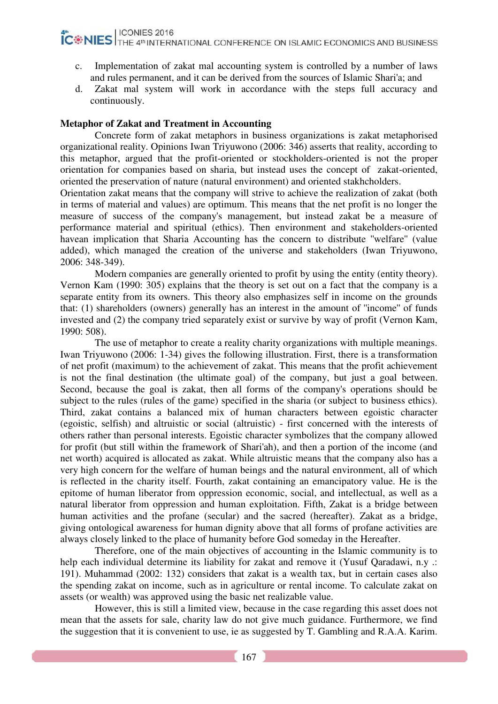- c. Implementation of zakat mal accounting system is controlled by a number of laws and rules permanent, and it can be derived from the sources of Islamic Shari'a; and
- d. Zakat mal system will work in accordance with the steps full accuracy and continuously.

## **Metaphor of Zakat and Treatment in Accounting**

 Concrete form of zakat metaphors in business organizations is zakat metaphorised organizational reality. Opinions Iwan Triyuwono (2006: 346) asserts that reality, according to this metaphor, argued that the profit-oriented or stockholders-oriented is not the proper orientation for companies based on sharia, but instead uses the concept of zakat-oriented, oriented the preservation of nature (natural environment) and oriented stakhcholders.

Orientation zakat means that the company will strive to achieve the realization of zakat (both in terms of material and values) are optimum. This means that the net profit is no longer the measure of success of the company's management, but instead zakat be a measure of performance material and spiritual (ethics). Then environment and stakeholders-oriented havean implication that Sharia Accounting has the concern to distribute ''welfare'' (value added), which managed the creation of the universe and stakeholders (Iwan Triyuwono, 2006: 348-349).

 Modern companies are generally oriented to profit by using the entity (entity theory). Vernon Kam (1990: 305) explains that the theory is set out on a fact that the company is a separate entity from its owners. This theory also emphasizes self in income on the grounds that: (1) shareholders (owners) generally has an interest in the amount of ''income'' of funds invested and (2) the company tried separately exist or survive by way of profit (Vernon Kam, 1990: 508).

 The use of metaphor to create a reality charity organizations with multiple meanings. Iwan Triyuwono (2006: 1-34) gives the following illustration. First, there is a transformation of net profit (maximum) to the achievement of zakat. This means that the profit achievement is not the final destination (the ultimate goal) of the company, but just a goal between. Second, because the goal is zakat, then all forms of the company's operations should be subject to the rules (rules of the game) specified in the sharia (or subject to business ethics). Third, zakat contains a balanced mix of human characters between egoistic character (egoistic, selfish) and altruistic or social (altruistic) - first concerned with the interests of others rather than personal interests. Egoistic character symbolizes that the company allowed for profit (but still within the framework of Shari'ah), and then a portion of the income (and net worth) acquired is allocated as zakat. While altruistic means that the company also has a very high concern for the welfare of human beings and the natural environment, all of which is reflected in the charity itself. Fourth, zakat containing an emancipatory value. He is the epitome of human liberator from oppression economic, social, and intellectual, as well as a natural liberator from oppression and human exploitation. Fifth, Zakat is a bridge between human activities and the profane (secular) and the sacred (hereafter). Zakat as a bridge, giving ontological awareness for human dignity above that all forms of profane activities are always closely linked to the place of humanity before God someday in the Hereafter.

 Therefore, one of the main objectives of accounting in the Islamic community is to help each individual determine its liability for zakat and remove it (Yusuf Qaradawi, n.y .: 191). Muhammad (2002: 132) considers that zakat is a wealth tax, but in certain cases also the spending zakat on income, such as in agriculture or rental income. To calculate zakat on assets (or wealth) was approved using the basic net realizable value.

 However, this is still a limited view, because in the case regarding this asset does not mean that the assets for sale, charity law do not give much guidance. Furthermore, we find the suggestion that it is convenient to use, ie as suggested by T. Gambling and R.A.A. Karim.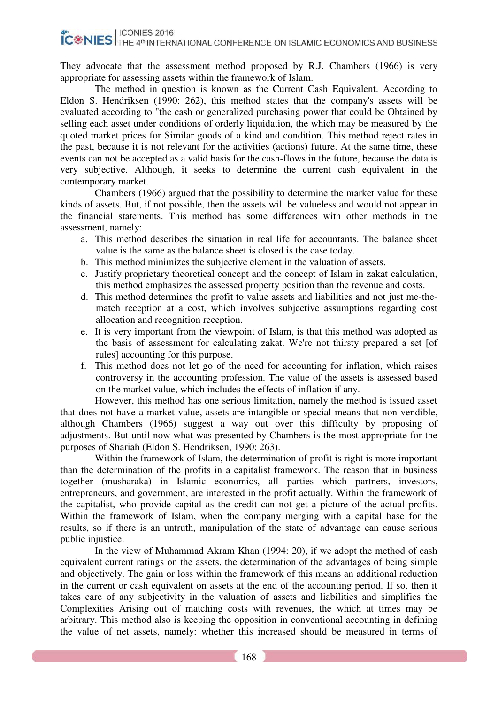# **IC NIES** THE 4<sup>th</sup> INTERNATIONAL CONFERENCE ON ISLAMIC ECONOMICS AND BUSINESS

They advocate that the assessment method proposed by R.J. Chambers (1966) is very appropriate for assessing assets within the framework of Islam.

 The method in question is known as the Current Cash Equivalent. According to Eldon S. Hendriksen (1990: 262), this method states that the company's assets will be evaluated according to "the cash or generalized purchasing power that could be Obtained by selling each asset under conditions of orderly liquidation, the which may be measured by the quoted market prices for Similar goods of a kind and condition. This method reject rates in the past, because it is not relevant for the activities (actions) future. At the same time, these events can not be accepted as a valid basis for the cash-flows in the future, because the data is very subjective. Although, it seeks to determine the current cash equivalent in the contemporary market.

 Chambers (1966) argued that the possibility to determine the market value for these kinds of assets. But, if not possible, then the assets will be valueless and would not appear in the financial statements. This method has some differences with other methods in the assessment, namely:

- a. This method describes the situation in real life for accountants. The balance sheet value is the same as the balance sheet is closed is the case today.
- b. This method minimizes the subjective element in the valuation of assets.
- c. Justify proprietary theoretical concept and the concept of Islam in zakat calculation, this method emphasizes the assessed property position than the revenue and costs.
- d. This method determines the profit to value assets and liabilities and not just me-thematch reception at a cost, which involves subjective assumptions regarding cost allocation and recognition reception.
- e. It is very important from the viewpoint of Islam, is that this method was adopted as the basis of assessment for calculating zakat. We're not thirsty prepared a set [of rules] accounting for this purpose.
- f. This method does not let go of the need for accounting for inflation, which raises controversy in the accounting profession. The value of the assets is assessed based on the market value, which includes the effects of inflation if any.

 However, this method has one serious limitation, namely the method is issued asset that does not have a market value, assets are intangible or special means that non-vendible, although Chambers (1966) suggest a way out over this difficulty by proposing of adjustments. But until now what was presented by Chambers is the most appropriate for the purposes of Shariah (Eldon S. Hendriksen, 1990: 263).

 Within the framework of Islam, the determination of profit is right is more important than the determination of the profits in a capitalist framework. The reason that in business together (musharaka) in Islamic economics, all parties which partners, investors, entrepreneurs, and government, are interested in the profit actually. Within the framework of the capitalist, who provide capital as the credit can not get a picture of the actual profits. Within the framework of Islam, when the company merging with a capital base for the results, so if there is an untruth, manipulation of the state of advantage can cause serious public injustice.

 In the view of Muhammad Akram Khan (1994: 20), if we adopt the method of cash equivalent current ratings on the assets, the determination of the advantages of being simple and objectively. The gain or loss within the framework of this means an additional reduction in the current or cash equivalent on assets at the end of the accounting period. If so, then it takes care of any subjectivity in the valuation of assets and liabilities and simplifies the Complexities Arising out of matching costs with revenues, the which at times may be arbitrary. This method also is keeping the opposition in conventional accounting in defining the value of net assets, namely: whether this increased should be measured in terms of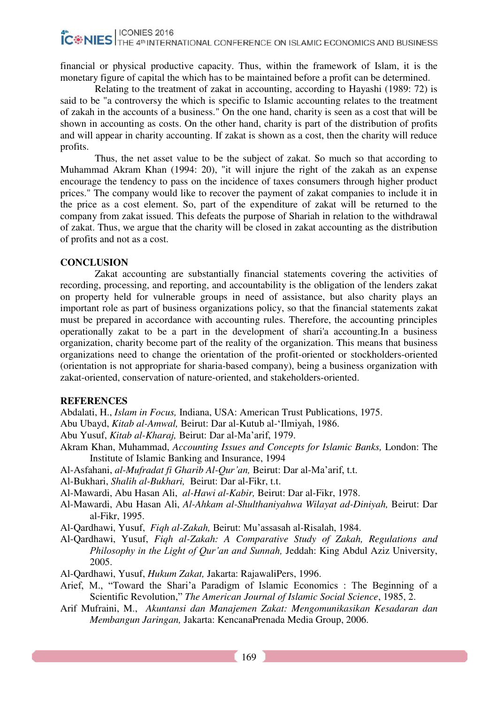financial or physical productive capacity. Thus, within the framework of Islam, it is the monetary figure of capital the which has to be maintained before a profit can be determined.

 Relating to the treatment of zakat in accounting, according to Hayashi (1989: 72) is said to be "a controversy the which is specific to Islamic accounting relates to the treatment of zakah in the accounts of a business." On the one hand, charity is seen as a cost that will be shown in accounting as costs. On the other hand, charity is part of the distribution of profits and will appear in charity accounting. If zakat is shown as a cost, then the charity will reduce profits.

 Thus, the net asset value to be the subject of zakat. So much so that according to Muhammad Akram Khan (1994: 20), "it will injure the right of the zakah as an expense encourage the tendency to pass on the incidence of taxes consumers through higher product prices." The company would like to recover the payment of zakat companies to include it in the price as a cost element. So, part of the expenditure of zakat will be returned to the company from zakat issued. This defeats the purpose of Shariah in relation to the withdrawal of zakat. Thus, we argue that the charity will be closed in zakat accounting as the distribution of profits and not as a cost.

# **CONCLUSION**

 Zakat accounting are substantially financial statements covering the activities of recording, processing, and reporting, and accountability is the obligation of the lenders zakat on property held for vulnerable groups in need of assistance, but also charity plays an important role as part of business organizations policy, so that the financial statements zakat must be prepared in accordance with accounting rules. Therefore, the accounting principles operationally zakat to be a part in the development of shari'a accounting.In a business organization, charity become part of the reality of the organization. This means that business organizations need to change the orientation of the profit-oriented or stockholders-oriented (orientation is not appropriate for sharia-based company), being a business organization with zakat-oriented, conservation of nature-oriented, and stakeholders-oriented.

### **REFERENCES**

Abdalati, H., *Islam in Focus,* Indiana, USA: American Trust Publications, 1975.

Abu Ubayd, *Kitab al-Amwal,* Beirut: Dar al-Kutub al-‗Ilmiyah, 1986.

Abu Yusuf, *Kitab al-Kharaj,* Beirut: Dar al-Ma'arif, 1979.

- Akram Khan, Muhammad, *Accounting Issues and Concepts for Islamic Banks,* London: The Institute of Islamic Banking and Insurance, 1994
- Al-Asfahani, *al-Mufradat fi Gharib Al-Qur"an,* Beirut: Dar al-Ma'arif, t.t.
- Al-Bukhari, *Shalih al-Bukhari,* Beirut: Dar al-Fikr, t.t.
- Al-Mawardi, Abu Hasan Ali, *al-Hawi al-Kabir,* Beirut: Dar al-Fikr, 1978.
- Al-Mawardi, Abu Hasan Ali, *Al-Ahkam al-Shulthaniyahwa Wilayat ad-Diniyah,* Beirut: Dar al-Fikr, 1995.
- Al-Qardhawi, Yusuf, *Fiqh al-Zakah,* Beirut: Mu'assasah al-Risalah, 1984.
- Al-Qardhawi, Yusuf, *Fiqh al-Zakah: A Comparative Study of Zakah, Regulations and Philosophy in the Light of Qur"an and Sunnah,* Jeddah: King Abdul Aziz University, 2005.
- Al-Qardhawi, Yusuf, *Hukum Zakat,* Jakarta: RajawaliPers, 1996.
- Arief, M., "Toward the Shari'a Paradigm of Islamic Economics : The Beginning of a Scientific Revolution," *The American Journal of Islamic Social Science*, 1985, 2.
- Arif Mufraini, M., *Akuntansi dan Manajemen Zakat: Mengomunikasikan Kesadaran dan Membangun Jaringan,* Jakarta: KencanaPrenada Media Group, 2006.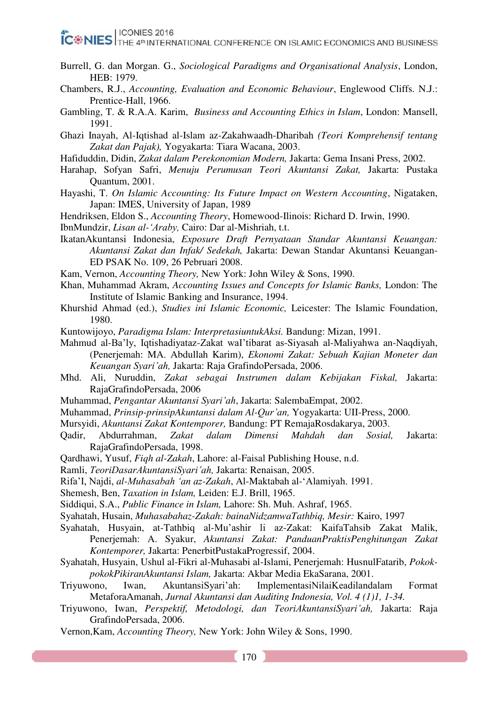- Burrell, G. dan Morgan. G., *Sociological Paradigms and Organisational Analysis*, London, HEB: 1979.
- Chambers, R.J., *Accounting, Evaluation and Economic Behaviour*, Englewood Cliffs. N.J.: Prentice-Hall, 1966.
- Gambling, T. & R.A.A. Karim, *Business and Accounting Ethics in Islam*, London: Mansell, 1991.
- Ghazi Inayah, Al-Iqtishad al-Islam az-Zakahwaadh-Dharibah *(Teori Komprehensif tentang Zakat dan Pajak),* Yogyakarta: Tiara Wacana, 2003.
- Hafiduddin, Didin, *Zakat dalam Perekonomian Modern,* Jakarta: Gema Insani Press, 2002.
- Harahap, Sofyan Safri, *Menuju Perumusan Teori Akuntansi Zakat,* Jakarta: Pustaka Quantum, 2001.
- Hayashi, T. *On Islamic Accounting: Its Future Impact on Western Accounting*, Nigataken, Japan: IMES, University of Japan, 1989
- Hendriksen, Eldon S., *Accounting Theory*, Homewood-Ilinois: Richard D. Irwin, 1990.
- IbnMundzir, *Lisan al-"Araby,* Cairo: Dar al-Mishriah, t.t.
- IkatanAkuntansi Indonesia, *Exposure Draft Pernyataan Standar Akuntansi Keuangan: Akuntansi Zakat dan Infak/ Sedekah,* Jakarta: Dewan Standar Akuntansi Keuangan-ED PSAK No. 109, 26 Pebruari 2008.
- Kam, Vernon, *Accounting Theory,* New York: John Wiley & Sons, 1990.
- Khan, Muhammad Akram, *Accounting Issues and Concepts for Islamic Banks,* London: The Institute of Islamic Banking and Insurance, 1994.
- Khurshid Ahmad (ed.), *Studies ini Islamic Economic,* Leicester: The Islamic Foundation, 1980.
- Kuntowijoyo, *Paradigma Islam: InterpretasiuntukAksi.* Bandung: Mizan, 1991.
- Mahmud al-Ba'ly, Iqtishadiyataz-Zakat waI'tibarat as-Siyasah al-Maliyahwa an-Naqdiyah, (Penerjemah: MA. Abdullah Karim), *Ekonomi Zakat: Sebuah Kajian Moneter dan Keuangan Syari"ah,* Jakarta: Raja GrafindoPersada, 2006.
- Mhd. Ali, Nuruddin, *Zakat sebagai Instrumen dalam Kebijakan Fiskal,* Jakarta: RajaGrafindoPersada, 2006
- Muhammad, *Pengantar Akuntansi Syari"ah*, Jakarta: SalembaEmpat, 2002.
- Muhammad, *Prinsip-prinsipAkuntansi dalam Al-Qur"an,* Yogyakarta: UII-Press, 2000.
- Mursyidi, *Akuntansi Zakat Kontemporer,* Bandung: PT RemajaRosdakarya, 2003.
- Qadir, Abdurrahman, *Zakat dalam Dimensi Mahdah dan Sosial,* Jakarta: RajaGrafindoPersada, 1998.
- Qardhawi, Yusuf, *Fiqh al-Zakah*, Lahore: al-Faisal Publishing House, n.d.
- Ramli, *TeoriDasarAkuntansiSyari"ah,* Jakarta: Renaisan, 2005.
- Rifa'I, Najdi, *al-Muhasabah "an az-Zakah*, Al-Maktabah al-‗Alamiyah. 1991.
- Shemesh, Ben, *Taxation in Islam,* Leiden: E.J. Brill, 1965.
- Siddiqui, S.A., *Public Finance in Islam,* Lahore: Sh. Muh. Ashraf, 1965.
- Syahatah, Husain, *Muhasabahaz-Zakah: bainaNidzamwaTathbiq, Mesir:* Kairo, 1997
- Syahatah, Husyain, at-Tathbiq al-Mu'ashir li az-Zakat: KaifaTahsib Zakat Malik, Penerjemah: A. Syakur, *Akuntansi Zakat: PanduanPraktisPenghitungan Zakat Kontemporer,* Jakarta: PenerbitPustakaProgressif, 2004.
- Syahatah, Husyain, Ushul al-Fikri al-Muhasabi al-Islami, Penerjemah: HusnulFatarib, *PokokpokokPikiranAkuntansi Islam,* Jakarta: Akbar Media EkaSarana, 2001.
- Triyuwono, Iwan, AkuntansiSyari'ah: ImplementasiNilaiKeadilandalam Format MetaforaAmanah, *Jurnal Akuntansi dan Auditing Indonesia, Vol. 4 (1)1, 1-34.*
- Triyuwono, Iwan, *Perspektif, Metodologi, dan TeoriAkuntansiSyari"ah,* Jakarta: Raja GrafindoPersada, 2006.
- Vernon,Kam, *Accounting Theory,* New York: John Wiley & Sons, 1990.